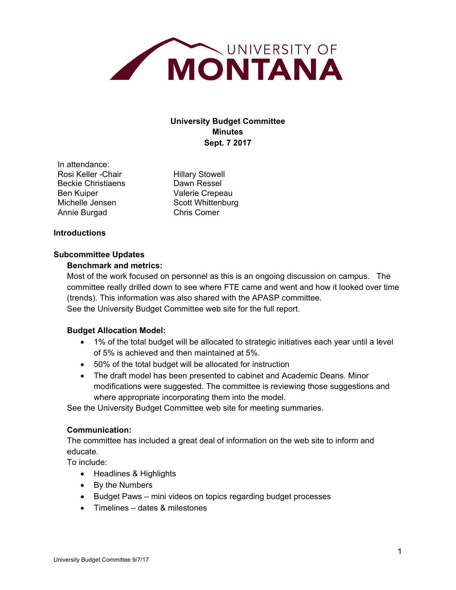

# **University Budget Committee Minutes Sept. 7 2017**

In attendance: Rosi Keller - Chair Hillary Stowell Beckie Christiaens **Dawn Ressel** Ben Kuiper Valerie Crepeau Michelle Jensen Scott Whittenburg Annie Burgad Chris Comer

# **Introductions**

# **Subcommittee Updates**

# **Benchmark and metrics:**

Most of the work focused on personnel as this is an ongoing discussion on campus. The committee really drilled down to see where FTE came and went and how it looked over time (trends). This information was also shared with the APASP committee. See the University Budget Committee web site for the full report.

# **Budget Allocation Model:**

- 1% of the total budget will be allocated to strategic initiatives each year until a level of 5% is achieved and then maintained at 5%.
- 50% of the total budget will be allocated for instruction
- The draft model has been presented to cabinet and Academic Deans. Minor modifications were suggested. The committee is reviewing those suggestions and where appropriate incorporating them into the model.

See the University Budget Committee web site for meeting summaries.

# **Communication:**

The committee has included a great deal of information on the web site to inform and educate.

To include:

- Headlines & Highlights
- By the Numbers
- Budget Paws mini videos on topics regarding budget processes
- Timelines dates & milestones